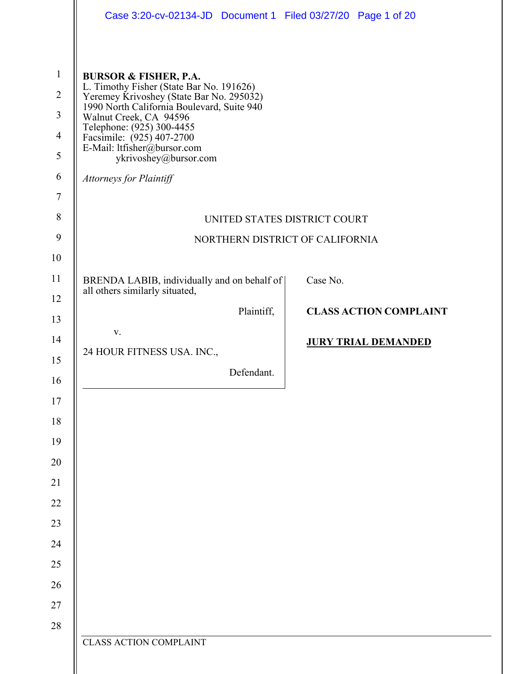|                                                                                                | Case 3:20-cv-02134-JD  Document 1  Filed 03/27/20  Page 1 of 20                                                                                                                                                                                                                                                                                      |                               |
|------------------------------------------------------------------------------------------------|------------------------------------------------------------------------------------------------------------------------------------------------------------------------------------------------------------------------------------------------------------------------------------------------------------------------------------------------------|-------------------------------|
| $\mathbf{1}$<br>$\overline{2}$<br>$\overline{3}$<br>$\overline{4}$<br>5<br>6<br>$\overline{7}$ | <b>BURSOR &amp; FISHER, P.A.</b><br>L. Timothy Fisher (State Bar No. 191626)<br>Yeremey Krivoshey (State Bar No. 295032)<br>1990 North California Boulevard, Suite 940<br>Walnut Creek, CA 94596<br>Telephone: (925) 300-4455<br>Facsimile: (925) 407-2700<br>E-Mail: ltfisher@bursor.com<br>ykrivoshey@bursor.com<br><b>Attorneys for Plaintiff</b> |                               |
| 8                                                                                              | UNITED STATES DISTRICT COURT                                                                                                                                                                                                                                                                                                                         |                               |
| 9                                                                                              | NORTHERN DISTRICT OF CALIFORNIA                                                                                                                                                                                                                                                                                                                      |                               |
| 10                                                                                             |                                                                                                                                                                                                                                                                                                                                                      |                               |
| 11                                                                                             | BRENDA LABIB, individually and on behalf of<br>all others similarly situated,                                                                                                                                                                                                                                                                        | Case No.                      |
| 12<br>13                                                                                       | Plaintiff,                                                                                                                                                                                                                                                                                                                                           | <b>CLASS ACTION COMPLAINT</b> |
| 14<br>15                                                                                       | V.<br>24 HOUR FITNESS USA. INC.,                                                                                                                                                                                                                                                                                                                     | <b>JURY TRIAL DEMANDED</b>    |
| 16                                                                                             | Defendant.                                                                                                                                                                                                                                                                                                                                           |                               |
| 17                                                                                             |                                                                                                                                                                                                                                                                                                                                                      |                               |
| $18\,$                                                                                         |                                                                                                                                                                                                                                                                                                                                                      |                               |
| 19                                                                                             |                                                                                                                                                                                                                                                                                                                                                      |                               |
| $20\,$                                                                                         |                                                                                                                                                                                                                                                                                                                                                      |                               |
| 21                                                                                             |                                                                                                                                                                                                                                                                                                                                                      |                               |
| 22                                                                                             |                                                                                                                                                                                                                                                                                                                                                      |                               |
| 23                                                                                             |                                                                                                                                                                                                                                                                                                                                                      |                               |
| 24                                                                                             |                                                                                                                                                                                                                                                                                                                                                      |                               |
| 25                                                                                             |                                                                                                                                                                                                                                                                                                                                                      |                               |
| 26                                                                                             |                                                                                                                                                                                                                                                                                                                                                      |                               |
| $27\,$                                                                                         |                                                                                                                                                                                                                                                                                                                                                      |                               |
| 28                                                                                             | <b>CLASS ACTION COMPLAINT</b>                                                                                                                                                                                                                                                                                                                        |                               |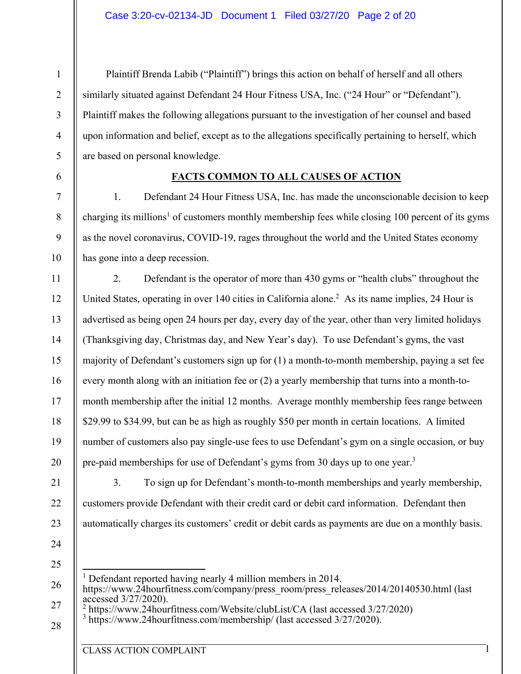Plaintiff Brenda Labib ("Plaintiff") brings this action on behalf of herself and all others similarly situated against Defendant 24 Hour Fitness USA, Inc. ("24 Hour" or "Defendant"). Plaintiff makes the following allegations pursuant to the investigation of her counsel and based upon information and belief, except as to the allegations specifically pertaining to herself, which are based on personal knowledge.

#### **FACTS COMMON TO ALL CAUSES OF ACTION**

1. Defendant 24 Hour Fitness USA, Inc. has made the unconscionable decision to keep charging its millions<sup>1</sup> of customers monthly membership fees while closing 100 percent of its gyms as the novel coronavirus, COVID-19, rages throughout the world and the United States economy has gone into a deep recession.

2. Defendant is the operator of more than 430 gyms or "health clubs" throughout the United States, operating in over 140 cities in California alone.<sup>2</sup> As its name implies, 24 Hour is advertised as being open 24 hours per day, every day of the year, other than very limited holidays (Thanksgiving day, Christmas day, and New Year's day). To use Defendant's gyms, the vast majority of Defendant's customers sign up for (1) a month-to-month membership, paying a set fee every month along with an initiation fee or (2) a yearly membership that turns into a month-tomonth membership after the initial 12 months. Average monthly membership fees range between \$29.99 to \$34.99, but can be as high as roughly \$50 per month in certain locations. A limited number of customers also pay single-use fees to use Defendant's gym on a single occasion, or buy pre-paid memberships for use of Defendant's gyms from 30 days up to one year.3

3. To sign up for Defendant's month-to-month memberships and yearly membership, customers provide Defendant with their credit card or debit card information. Defendant then automatically charges its customers' credit or debit cards as payments are due on a monthly basis.

24

1

2

3

4

5

6

7

8

9

10

11

12

13

14

15

16

17

18

19

20

21

22

23

25

28

<sup>1</sup> Defendant reported having nearly 4 million members in 2014.

26 27 https://www.24hourfitness.com/company/press\_room/press\_releases/2014/20140530.html (last accessed 3/27/2020).

<sup>2</sup> https://www.24hourfitness.com/Website/clubList/CA (last accessed 3/27/2020)  $\frac{3 \text{ https://www.24hourfitness.com/membershin/(last accessed 3/27/2020)}}{3}$ 

 $3$  https://www.24hourfitness.com/membership/ (last accessed 3/27/2020).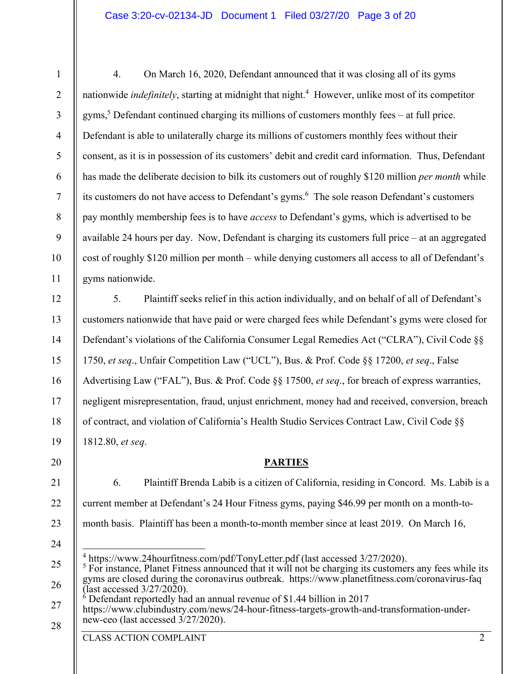4. On March 16, 2020, Defendant announced that it was closing all of its gyms nationwide *indefinitely*, starting at midnight that night.<sup>4</sup> However, unlike most of its competitor gyms,<sup>5</sup> Defendant continued charging its millions of customers monthly fees  $-$  at full price. Defendant is able to unilaterally charge its millions of customers monthly fees without their consent, as it is in possession of its customers' debit and credit card information. Thus, Defendant has made the deliberate decision to bilk its customers out of roughly \$120 million *per month* while its customers do not have access to Defendant's gyms.<sup>6</sup> The sole reason Defendant's customers pay monthly membership fees is to have *access* to Defendant's gyms, which is advertised to be available 24 hours per day. Now, Defendant is charging its customers full price – at an aggregated cost of roughly \$120 million per month – while denying customers all access to all of Defendant's gyms nationwide.

5. Plaintiff seeks relief in this action individually, and on behalf of all of Defendant's customers nationwide that have paid or were charged fees while Defendant's gyms were closed for Defendant's violations of the California Consumer Legal Remedies Act ("CLRA"), Civil Code §§ 1750, *et seq*., Unfair Competition Law ("UCL"), Bus. & Prof. Code §§ 17200, *et seq*., False Advertising Law ("FAL"), Bus. & Prof. Code §§ 17500, *et seq*., for breach of express warranties, negligent misrepresentation, fraud, unjust enrichment, money had and received, conversion, breach of contract, and violation of California's Health Studio Services Contract Law, Civil Code §§ 1812.80, *et seq*.

#### **PARTIES**

- 6. Plaintiff Brenda Labib is a citizen of California, residing in Concord. Ms. Labib is a current member at Defendant's 24 Hour Fitness gyms, paying \$46.99 per month on a month-tomonth basis. Plaintiff has been a month-to-month member since at least 2019. On March 16,
- 25 26 27  $^{4}$  https://www.24hourfitness.com/pdf/TonyLetter.pdf (last accessed 3/27/2020).  $<sup>5</sup>$  For instance, Planet Fitness announced that it will not be charging its customers any fees while its</sup> gyms are closed during the coronavirus outbreak. https://www.planetfitness.com/coronavirus-faq (last accessed  $3/27/2020$ ).  $\delta$  Defendant reportedly had an annual revenue of \$1.44 billion in 2017 https://www.clubindustry.com/news/24-hour-fitness-targets-growth-and-transformation-undernew-ceo (last accessed 3/27/2020).

CLASS ACTION COMPLAINT 2

1

2

3

4

5

6

7

8

9

10

11

12

13

14

15

16

17

18

19

20

21

22

23

24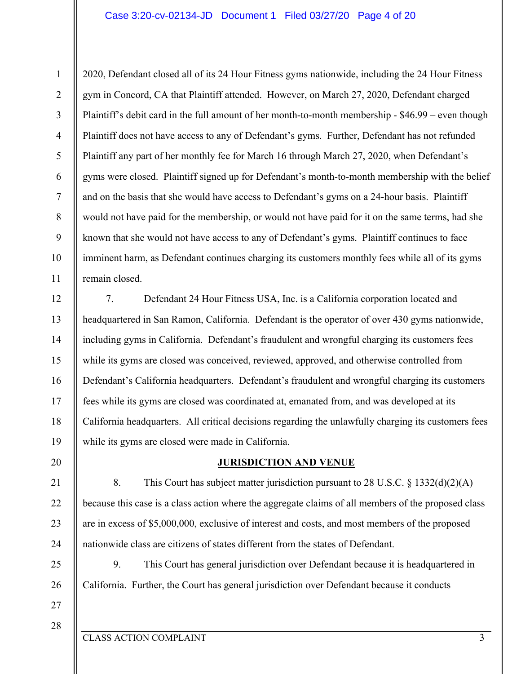#### Case 3:20-cv-02134-JD Document 1 Filed 03/27/20 Page 4 of 20

2020, Defendant closed all of its 24 Hour Fitness gyms nationwide, including the 24 Hour Fitness gym in Concord, CA that Plaintiff attended. However, on March 27, 2020, Defendant charged Plaintiff's debit card in the full amount of her month-to-month membership - \$46.99 – even though Plaintiff does not have access to any of Defendant's gyms. Further, Defendant has not refunded Plaintiff any part of her monthly fee for March 16 through March 27, 2020, when Defendant's gyms were closed. Plaintiff signed up for Defendant's month-to-month membership with the belief and on the basis that she would have access to Defendant's gyms on a 24-hour basis. Plaintiff would not have paid for the membership, or would not have paid for it on the same terms, had she known that she would not have access to any of Defendant's gyms. Plaintiff continues to face imminent harm, as Defendant continues charging its customers monthly fees while all of its gyms remain closed.

12 13 14 15 16 17 18 19 7. Defendant 24 Hour Fitness USA, Inc. is a California corporation located and headquartered in San Ramon, California. Defendant is the operator of over 430 gyms nationwide, including gyms in California. Defendant's fraudulent and wrongful charging its customers fees while its gyms are closed was conceived, reviewed, approved, and otherwise controlled from Defendant's California headquarters. Defendant's fraudulent and wrongful charging its customers fees while its gyms are closed was coordinated at, emanated from, and was developed at its California headquarters. All critical decisions regarding the unlawfully charging its customers fees while its gyms are closed were made in California.

#### **JURISDICTION AND VENUE**

8. This Court has subject matter jurisdiction pursuant to 28 U.S.C. § 1332(d)(2)(A) because this case is a class action where the aggregate claims of all members of the proposed class are in excess of \$5,000,000, exclusive of interest and costs, and most members of the proposed nationwide class are citizens of states different from the states of Defendant.

9. This Court has general jurisdiction over Defendant because it is headquartered in California. Further, the Court has general jurisdiction over Defendant because it conducts

27 28

20

21

22

23

24

25

26

1

2

3

4

5

6

7

8

9

10

11

CLASS ACTION COMPLAINT 3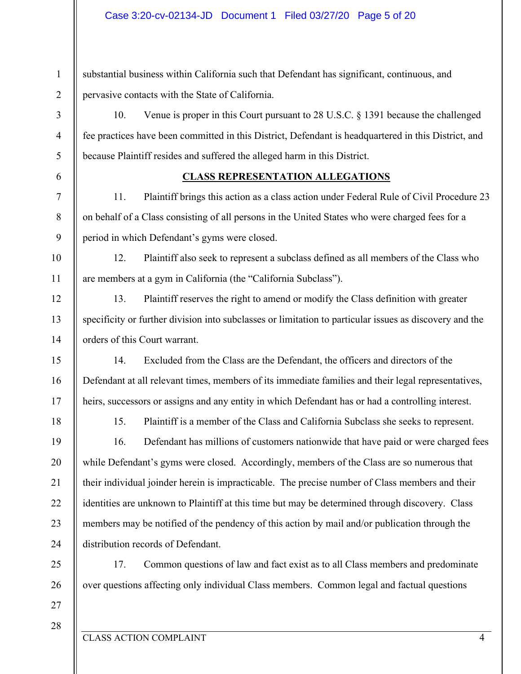substantial business within California such that Defendant has significant, continuous, and pervasive contacts with the State of California.

10. Venue is proper in this Court pursuant to 28 U.S.C. § 1391 because the challenged fee practices have been committed in this District, Defendant is headquartered in this District, and because Plaintiff resides and suffered the alleged harm in this District.

6

7

8

9

10

11

12

13

14

15

16

17

18

19

20

21

22

23

24

25

26

1

2

3

4

5

#### **CLASS REPRESENTATION ALLEGATIONS**

11. Plaintiff brings this action as a class action under Federal Rule of Civil Procedure 23 on behalf of a Class consisting of all persons in the United States who were charged fees for a period in which Defendant's gyms were closed.

12. Plaintiff also seek to represent a subclass defined as all members of the Class who are members at a gym in California (the "California Subclass").

13. Plaintiff reserves the right to amend or modify the Class definition with greater specificity or further division into subclasses or limitation to particular issues as discovery and the orders of this Court warrant.

14. Excluded from the Class are the Defendant, the officers and directors of the Defendant at all relevant times, members of its immediate families and their legal representatives, heirs, successors or assigns and any entity in which Defendant has or had a controlling interest.

15. Plaintiff is a member of the Class and California Subclass she seeks to represent.

16. Defendant has millions of customers nationwide that have paid or were charged fees while Defendant's gyms were closed. Accordingly, members of the Class are so numerous that their individual joinder herein is impracticable. The precise number of Class members and their identities are unknown to Plaintiff at this time but may be determined through discovery. Class members may be notified of the pendency of this action by mail and/or publication through the distribution records of Defendant.

17. Common questions of law and fact exist as to all Class members and predominate over questions affecting only individual Class members. Common legal and factual questions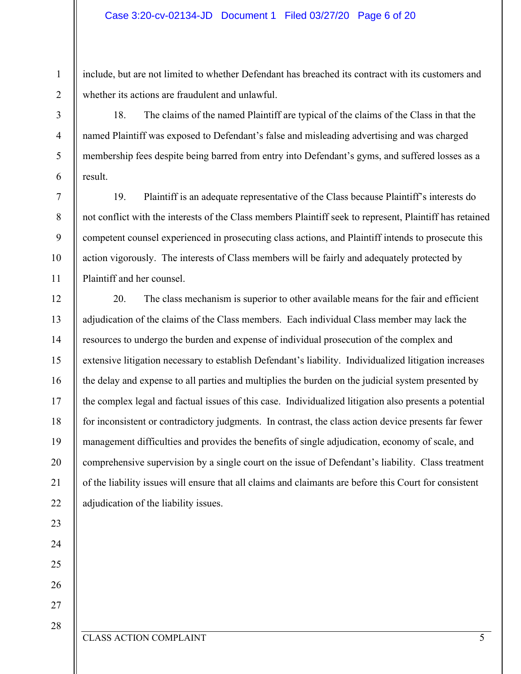include, but are not limited to whether Defendant has breached its contract with its customers and whether its actions are fraudulent and unlawful.

18. The claims of the named Plaintiff are typical of the claims of the Class in that the named Plaintiff was exposed to Defendant's false and misleading advertising and was charged membership fees despite being barred from entry into Defendant's gyms, and suffered losses as a result.

19. Plaintiff is an adequate representative of the Class because Plaintiff's interests do not conflict with the interests of the Class members Plaintiff seek to represent, Plaintiff has retained competent counsel experienced in prosecuting class actions, and Plaintiff intends to prosecute this action vigorously. The interests of Class members will be fairly and adequately protected by Plaintiff and her counsel.

20. The class mechanism is superior to other available means for the fair and efficient adjudication of the claims of the Class members. Each individual Class member may lack the resources to undergo the burden and expense of individual prosecution of the complex and extensive litigation necessary to establish Defendant's liability. Individualized litigation increases the delay and expense to all parties and multiplies the burden on the judicial system presented by the complex legal and factual issues of this case. Individualized litigation also presents a potential for inconsistent or contradictory judgments. In contrast, the class action device presents far fewer management difficulties and provides the benefits of single adjudication, economy of scale, and comprehensive supervision by a single court on the issue of Defendant's liability. Class treatment of the liability issues will ensure that all claims and claimants are before this Court for consistent adjudication of the liability issues.

1

2

3

4

5

6

7

8

9

10

11

12

13

14

15

16

17

18

19

20

21

22

23

24

25

26

27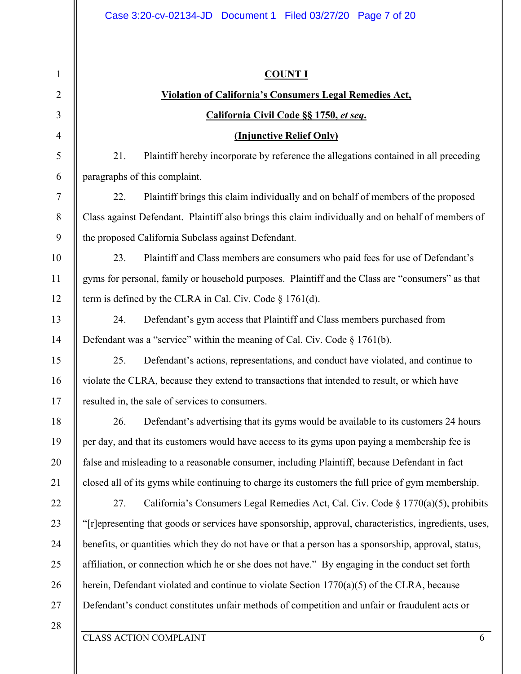| $\mathbf{1}$ | <b>COUNT I</b>                                                                                         |  |  |  |  |  |
|--------------|--------------------------------------------------------------------------------------------------------|--|--|--|--|--|
| 2            | <b>Violation of California's Consumers Legal Remedies Act,</b>                                         |  |  |  |  |  |
| 3            | California Civil Code §§ 1750, et seq.                                                                 |  |  |  |  |  |
| 4            | (Injunctive Relief Only)                                                                               |  |  |  |  |  |
| 5            | 21.<br>Plaintiff hereby incorporate by reference the allegations contained in all preceding            |  |  |  |  |  |
| 6            | paragraphs of this complaint.                                                                          |  |  |  |  |  |
| $\tau$       | Plaintiff brings this claim individually and on behalf of members of the proposed<br>22.               |  |  |  |  |  |
| 8            | Class against Defendant. Plaintiff also brings this claim individually and on behalf of members of     |  |  |  |  |  |
| 9            | the proposed California Subclass against Defendant.                                                    |  |  |  |  |  |
| 10           | 23.<br>Plaintiff and Class members are consumers who paid fees for use of Defendant's                  |  |  |  |  |  |
| 11           | gyms for personal, family or household purposes. Plaintiff and the Class are "consumers" as that       |  |  |  |  |  |
| 12           | term is defined by the CLRA in Cal. Civ. Code $\S$ 1761(d).                                            |  |  |  |  |  |
| 13           | 24.<br>Defendant's gym access that Plaintiff and Class members purchased from                          |  |  |  |  |  |
| 14           | Defendant was a "service" within the meaning of Cal. Civ. Code $\S 1761(b)$ .                          |  |  |  |  |  |
| 15           | 25.<br>Defendant's actions, representations, and conduct have violated, and continue to                |  |  |  |  |  |
| 16           | violate the CLRA, because they extend to transactions that intended to result, or which have           |  |  |  |  |  |
| 17           | resulted in, the sale of services to consumers.                                                        |  |  |  |  |  |
| 18           | 26.<br>Defendant's advertising that its gyms would be available to its customers 24 hours              |  |  |  |  |  |
| 19           | per day, and that its customers would have access to its gyms upon paying a membership fee is          |  |  |  |  |  |
| 20           | false and misleading to a reasonable consumer, including Plaintiff, because Defendant in fact          |  |  |  |  |  |
| 21           | closed all of its gyms while continuing to charge its customers the full price of gym membership.      |  |  |  |  |  |
| 22           | 27.<br>California's Consumers Legal Remedies Act, Cal. Civ. Code § 1770(a)(5), prohibits               |  |  |  |  |  |
| 23           | "[r]epresenting that goods or services have sponsorship, approval, characteristics, ingredients, uses, |  |  |  |  |  |
| 24           | benefits, or quantities which they do not have or that a person has a sponsorship, approval, status,   |  |  |  |  |  |
| 25           | affiliation, or connection which he or she does not have." By engaging in the conduct set forth        |  |  |  |  |  |
| 26           | herein, Defendant violated and continue to violate Section $1770(a)(5)$ of the CLRA, because           |  |  |  |  |  |
| 27           | Defendant's conduct constitutes unfair methods of competition and unfair or fraudulent acts or         |  |  |  |  |  |
| 28           |                                                                                                        |  |  |  |  |  |
|              | <b>CLASS ACTION COMPLAINT</b><br>6                                                                     |  |  |  |  |  |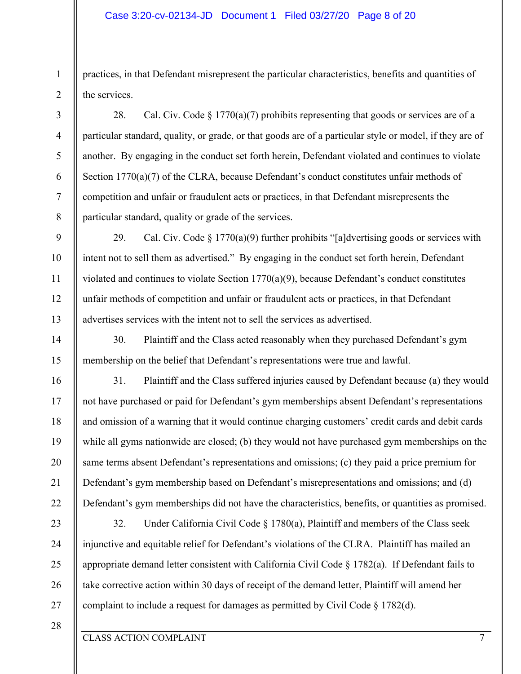#### Case 3:20-cv-02134-JD Document 1 Filed 03/27/20 Page 8 of 20

practices, in that Defendant misrepresent the particular characteristics, benefits and quantities of the services.

28. Cal. Civ. Code  $\S 1770(a)(7)$  prohibits representing that goods or services are of a particular standard, quality, or grade, or that goods are of a particular style or model, if they are of another. By engaging in the conduct set forth herein, Defendant violated and continues to violate Section 1770(a)(7) of the CLRA, because Defendant's conduct constitutes unfair methods of competition and unfair or fraudulent acts or practices, in that Defendant misrepresents the particular standard, quality or grade of the services.

29. Cal. Civ. Code  $\S 1770(a)(9)$  further prohibits "[a]dvertising goods or services with intent not to sell them as advertised." By engaging in the conduct set forth herein, Defendant violated and continues to violate Section  $1770(a)(9)$ , because Defendant's conduct constitutes unfair methods of competition and unfair or fraudulent acts or practices, in that Defendant advertises services with the intent not to sell the services as advertised.

30. Plaintiff and the Class acted reasonably when they purchased Defendant's gym membership on the belief that Defendant's representations were true and lawful.

31. Plaintiff and the Class suffered injuries caused by Defendant because (a) they would not have purchased or paid for Defendant's gym memberships absent Defendant's representations and omission of a warning that it would continue charging customers' credit cards and debit cards while all gyms nationwide are closed; (b) they would not have purchased gym memberships on the same terms absent Defendant's representations and omissions; (c) they paid a price premium for Defendant's gym membership based on Defendant's misrepresentations and omissions; and (d) Defendant's gym memberships did not have the characteristics, benefits, or quantities as promised.

32. Under California Civil Code § 1780(a), Plaintiff and members of the Class seek injunctive and equitable relief for Defendant's violations of the CLRA. Plaintiff has mailed an appropriate demand letter consistent with California Civil Code § 1782(a). If Defendant fails to take corrective action within 30 days of receipt of the demand letter, Plaintiff will amend her complaint to include a request for damages as permitted by Civil Code § 1782(d).

27 28

1

2

3

4

5

6

7

8

9

10

11

12

13

14

15

16

17

18

19

20

21

22

23

24

25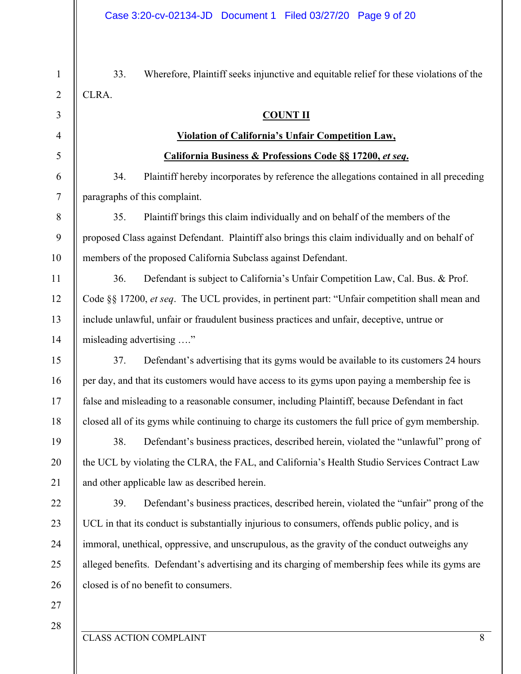33. Wherefore, Plaintiff seeks injunctive and equitable relief for these violations of the CLRA.

#### **COUNT II**

#### **Violation of California's Unfair Competition Law,**

#### **California Business & Professions Code §§ 17200,** *et seq***.**

34. Plaintiff hereby incorporates by reference the allegations contained in all preceding paragraphs of this complaint.

35. Plaintiff brings this claim individually and on behalf of the members of the proposed Class against Defendant. Plaintiff also brings this claim individually and on behalf of members of the proposed California Subclass against Defendant.

36. Defendant is subject to California's Unfair Competition Law, Cal. Bus. & Prof. Code §§ 17200, *et seq*. The UCL provides, in pertinent part: "Unfair competition shall mean and include unlawful, unfair or fraudulent business practices and unfair, deceptive, untrue or misleading advertising …."

37. Defendant's advertising that its gyms would be available to its customers 24 hours per day, and that its customers would have access to its gyms upon paying a membership fee is false and misleading to a reasonable consumer, including Plaintiff, because Defendant in fact closed all of its gyms while continuing to charge its customers the full price of gym membership.

38. Defendant's business practices, described herein, violated the "unlawful" prong of the UCL by violating the CLRA, the FAL, and California's Health Studio Services Contract Law and other applicable law as described herein.

39. Defendant's business practices, described herein, violated the "unfair" prong of the UCL in that its conduct is substantially injurious to consumers, offends public policy, and is immoral, unethical, oppressive, and unscrupulous, as the gravity of the conduct outweighs any alleged benefits. Defendant's advertising and its charging of membership fees while its gyms are closed is of no benefit to consumers.

27 28

1

2

3

4

5

6

7

8

9

10

11

12

13

14

15

16

17

18

19

20

21

22

23

24

25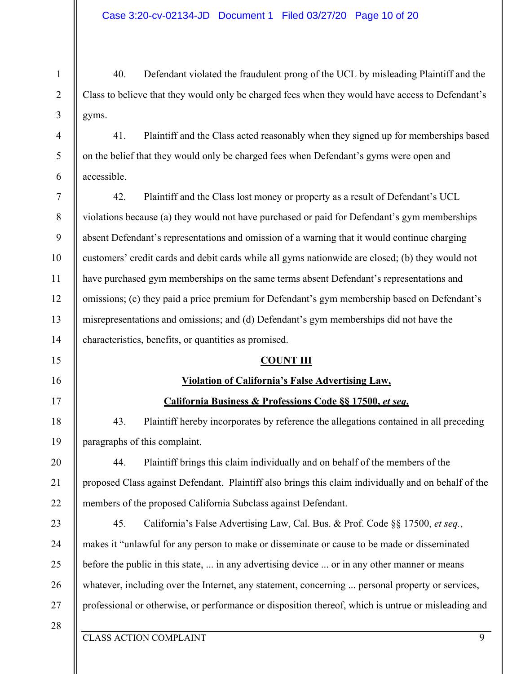40. Defendant violated the fraudulent prong of the UCL by misleading Plaintiff and the Class to believe that they would only be charged fees when they would have access to Defendant's gyms.

41. Plaintiff and the Class acted reasonably when they signed up for memberships based on the belief that they would only be charged fees when Defendant's gyms were open and accessible.

7 8 9 10 11 12 13 14 42. Plaintiff and the Class lost money or property as a result of Defendant's UCL violations because (a) they would not have purchased or paid for Defendant's gym memberships absent Defendant's representations and omission of a warning that it would continue charging customers' credit cards and debit cards while all gyms nationwide are closed; (b) they would not have purchased gym memberships on the same terms absent Defendant's representations and omissions; (c) they paid a price premium for Defendant's gym membership based on Defendant's misrepresentations and omissions; and (d) Defendant's gym memberships did not have the characteristics, benefits, or quantities as promised.

#### **COUNT III**

## **Violation of California's False Advertising Law,**

## **California Business & Professions Code §§ 17500,** *et seq***.**

43. Plaintiff hereby incorporates by reference the allegations contained in all preceding paragraphs of this complaint.

44. Plaintiff brings this claim individually and on behalf of the members of the proposed Class against Defendant. Plaintiff also brings this claim individually and on behalf of the members of the proposed California Subclass against Defendant.

23 24 25 26 27 45. California's False Advertising Law, Cal. Bus. & Prof. Code §§ 17500, *et seq.*, makes it "unlawful for any person to make or disseminate or cause to be made or disseminated before the public in this state, ... in any advertising device ... or in any other manner or means whatever, including over the Internet, any statement, concerning ... personal property or services, professional or otherwise, or performance or disposition thereof, which is untrue or misleading and

28

1

2

3

4

5

6

15

16

17

18

19

20

21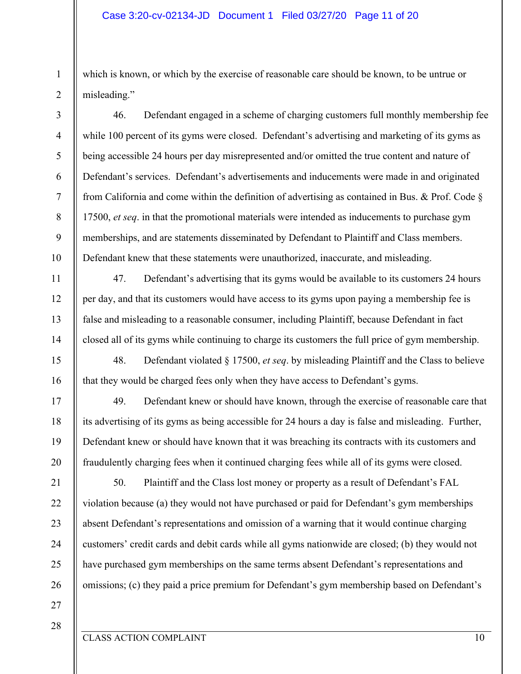which is known, or which by the exercise of reasonable care should be known, to be untrue or misleading."

46. Defendant engaged in a scheme of charging customers full monthly membership fee while 100 percent of its gyms were closed. Defendant's advertising and marketing of its gyms as being accessible 24 hours per day misrepresented and/or omitted the true content and nature of Defendant's services. Defendant's advertisements and inducements were made in and originated from California and come within the definition of advertising as contained in Bus. & Prof. Code § 17500, *et seq*. in that the promotional materials were intended as inducements to purchase gym memberships, and are statements disseminated by Defendant to Plaintiff and Class members. Defendant knew that these statements were unauthorized, inaccurate, and misleading.

47. Defendant's advertising that its gyms would be available to its customers 24 hours per day, and that its customers would have access to its gyms upon paying a membership fee is false and misleading to a reasonable consumer, including Plaintiff, because Defendant in fact closed all of its gyms while continuing to charge its customers the full price of gym membership.

48. Defendant violated § 17500, *et seq*. by misleading Plaintiff and the Class to believe that they would be charged fees only when they have access to Defendant's gyms.

49. Defendant knew or should have known, through the exercise of reasonable care that its advertising of its gyms as being accessible for 24 hours a day is false and misleading. Further, Defendant knew or should have known that it was breaching its contracts with its customers and fraudulently charging fees when it continued charging fees while all of its gyms were closed.

50. Plaintiff and the Class lost money or property as a result of Defendant's FAL violation because (a) they would not have purchased or paid for Defendant's gym memberships absent Defendant's representations and omission of a warning that it would continue charging customers' credit cards and debit cards while all gyms nationwide are closed; (b) they would not have purchased gym memberships on the same terms absent Defendant's representations and omissions; (c) they paid a price premium for Defendant's gym membership based on Defendant's

27

1

2

3

4

5

6

7

8

9

10

11

12

13

14

15

16

17

18

19

20

21

22

23

24

25

26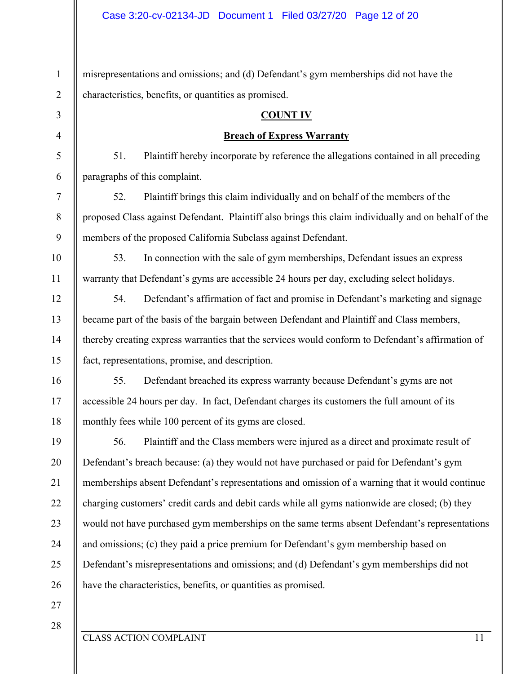1 2 3 4 5 6 7 8 9 10 11 12 13 14 15 16 17 18 19 20 21 22 23 24 25 26 27 misrepresentations and omissions; and (d) Defendant's gym memberships did not have the characteristics, benefits, or quantities as promised. **COUNT IV Breach of Express Warranty**  51. Plaintiff hereby incorporate by reference the allegations contained in all preceding paragraphs of this complaint. 52. Plaintiff brings this claim individually and on behalf of the members of the proposed Class against Defendant. Plaintiff also brings this claim individually and on behalf of the members of the proposed California Subclass against Defendant. 53. In connection with the sale of gym memberships, Defendant issues an express warranty that Defendant's gyms are accessible 24 hours per day, excluding select holidays. 54. Defendant's affirmation of fact and promise in Defendant's marketing and signage became part of the basis of the bargain between Defendant and Plaintiff and Class members, thereby creating express warranties that the services would conform to Defendant's affirmation of fact, representations, promise, and description. 55. Defendant breached its express warranty because Defendant's gyms are not accessible 24 hours per day. In fact, Defendant charges its customers the full amount of its monthly fees while 100 percent of its gyms are closed. 56. Plaintiff and the Class members were injured as a direct and proximate result of Defendant's breach because: (a) they would not have purchased or paid for Defendant's gym memberships absent Defendant's representations and omission of a warning that it would continue charging customers' credit cards and debit cards while all gyms nationwide are closed; (b) they would not have purchased gym memberships on the same terms absent Defendant's representations and omissions; (c) they paid a price premium for Defendant's gym membership based on Defendant's misrepresentations and omissions; and (d) Defendant's gym memberships did not have the characteristics, benefits, or quantities as promised.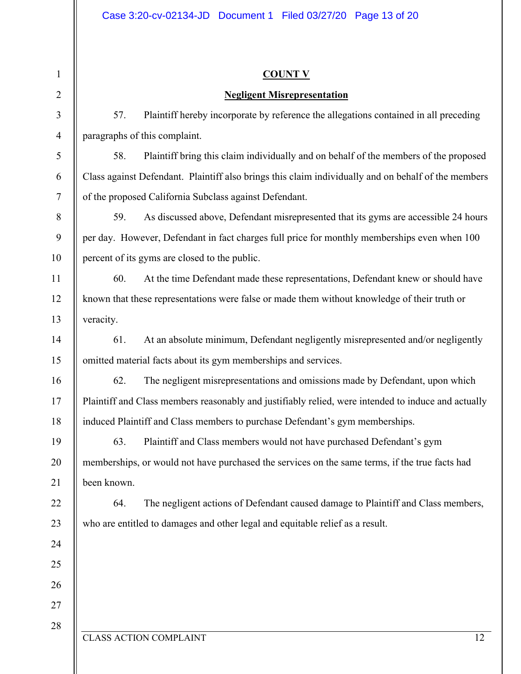| 1              | <b>COUNT V</b>                                |                                                                                                     |  |  |  |  |
|----------------|-----------------------------------------------|-----------------------------------------------------------------------------------------------------|--|--|--|--|
| $\overline{2}$ |                                               | <b>Negligent Misrepresentation</b>                                                                  |  |  |  |  |
| 3              | 57.                                           | Plaintiff hereby incorporate by reference the allegations contained in all preceding                |  |  |  |  |
| $\overline{4}$ | paragraphs of this complaint.                 |                                                                                                     |  |  |  |  |
| 5              | 58.                                           | Plaintiff bring this claim individually and on behalf of the members of the proposed                |  |  |  |  |
| 6              |                                               | Class against Defendant. Plaintiff also brings this claim individually and on behalf of the members |  |  |  |  |
| 7              |                                               | of the proposed California Subclass against Defendant.                                              |  |  |  |  |
| 8              | 59.                                           | As discussed above, Defendant misrepresented that its gyms are accessible 24 hours                  |  |  |  |  |
| 9              |                                               | per day. However, Defendant in fact charges full price for monthly memberships even when 100        |  |  |  |  |
| 10             | percent of its gyms are closed to the public. |                                                                                                     |  |  |  |  |
| 11             | 60.                                           | At the time Defendant made these representations, Defendant knew or should have                     |  |  |  |  |
| 12             |                                               | known that these representations were false or made them without knowledge of their truth or        |  |  |  |  |
| 13             | veracity.                                     |                                                                                                     |  |  |  |  |
| 14             | 61.                                           | At an absolute minimum, Defendant negligently misrepresented and/or negligently                     |  |  |  |  |
| 15             |                                               | omitted material facts about its gym memberships and services.                                      |  |  |  |  |
| 16             | 62.                                           | The negligent misrepresentations and omissions made by Defendant, upon which                        |  |  |  |  |
| 17             |                                               | Plaintiff and Class members reasonably and justifiably relied, were intended to induce and actually |  |  |  |  |
| 18             |                                               | induced Plaintiff and Class members to purchase Defendant's gym memberships.                        |  |  |  |  |
| 19             | 63.                                           | Plaintiff and Class members would not have purchased Defendant's gym                                |  |  |  |  |
| 20             |                                               | memberships, or would not have purchased the services on the same terms, if the true facts had      |  |  |  |  |
| 21             | been known.                                   |                                                                                                     |  |  |  |  |
| 22             | 64.                                           | The negligent actions of Defendant caused damage to Plaintiff and Class members,                    |  |  |  |  |
| 23             |                                               | who are entitled to damages and other legal and equitable relief as a result.                       |  |  |  |  |
| 24             |                                               |                                                                                                     |  |  |  |  |
| 25             |                                               |                                                                                                     |  |  |  |  |
| 26             |                                               |                                                                                                     |  |  |  |  |
| 27             |                                               |                                                                                                     |  |  |  |  |
| 28             |                                               |                                                                                                     |  |  |  |  |
|                | <b>CLASS ACTION COMPLAINT</b>                 | 12                                                                                                  |  |  |  |  |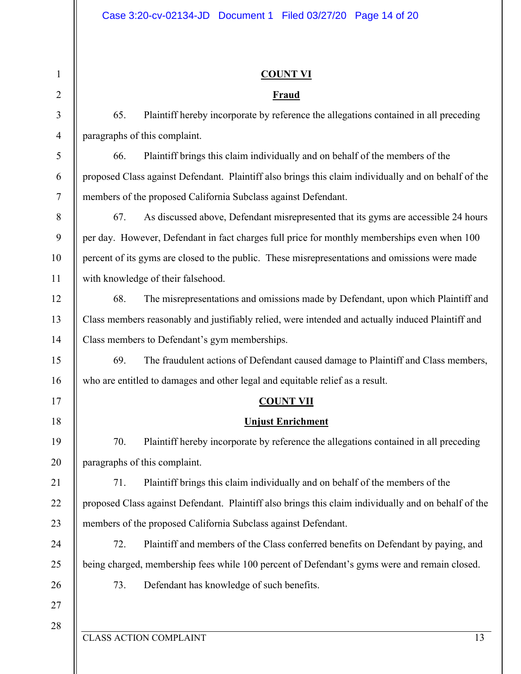#### CLASS ACTION COMPLAINT 13 1 2 3 4 5 6 7 8 9 10 11 12 13 14 15 16 17 18 19 20 21 22 23 24 25 26 27 28 **COUNT VI Fraud**  65. Plaintiff hereby incorporate by reference the allegations contained in all preceding paragraphs of this complaint. 66. Plaintiff brings this claim individually and on behalf of the members of the proposed Class against Defendant. Plaintiff also brings this claim individually and on behalf of the members of the proposed California Subclass against Defendant. 67. As discussed above, Defendant misrepresented that its gyms are accessible 24 hours per day. However, Defendant in fact charges full price for monthly memberships even when 100 percent of its gyms are closed to the public. These misrepresentations and omissions were made with knowledge of their falsehood. 68. The misrepresentations and omissions made by Defendant, upon which Plaintiff and Class members reasonably and justifiably relied, were intended and actually induced Plaintiff and Class members to Defendant's gym memberships. 69. The fraudulent actions of Defendant caused damage to Plaintiff and Class members, who are entitled to damages and other legal and equitable relief as a result. **COUNT VII Unjust Enrichment**  70. Plaintiff hereby incorporate by reference the allegations contained in all preceding paragraphs of this complaint. 71. Plaintiff brings this claim individually and on behalf of the members of the proposed Class against Defendant. Plaintiff also brings this claim individually and on behalf of the members of the proposed California Subclass against Defendant. 72. Plaintiff and members of the Class conferred benefits on Defendant by paying, and being charged, membership fees while 100 percent of Defendant's gyms were and remain closed. 73. Defendant has knowledge of such benefits.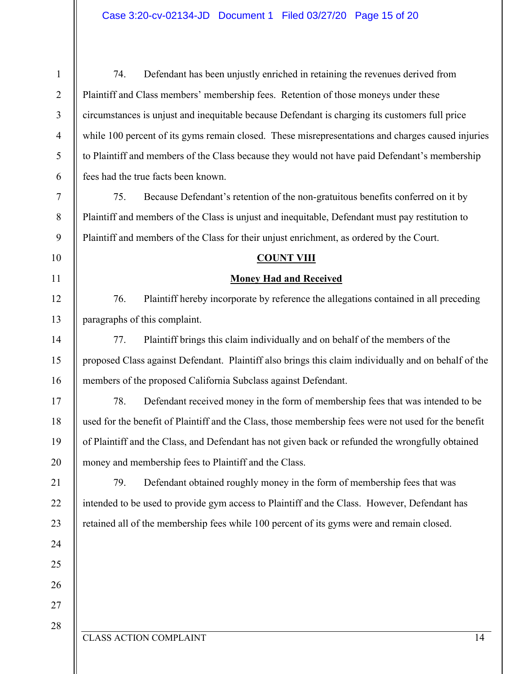74. Defendant has been unjustly enriched in retaining the revenues derived from Plaintiff and Class members' membership fees. Retention of those moneys under these circumstances is unjust and inequitable because Defendant is charging its customers full price while 100 percent of its gyms remain closed. These misrepresentations and charges caused injuries to Plaintiff and members of the Class because they would not have paid Defendant's membership fees had the true facts been known. 75. Because Defendant's retention of the non-gratuitous benefits conferred on it by

Plaintiff and members of the Class is unjust and inequitable, Defendant must pay restitution to Plaintiff and members of the Class for their unjust enrichment, as ordered by the Court.

#### **COUNT VIII**

#### **Money Had and Received**

76. Plaintiff hereby incorporate by reference the allegations contained in all preceding paragraphs of this complaint.

77. Plaintiff brings this claim individually and on behalf of the members of the proposed Class against Defendant. Plaintiff also brings this claim individually and on behalf of the members of the proposed California Subclass against Defendant.

78. Defendant received money in the form of membership fees that was intended to be used for the benefit of Plaintiff and the Class, those membership fees were not used for the benefit of Plaintiff and the Class, and Defendant has not given back or refunded the wrongfully obtained money and membership fees to Plaintiff and the Class.

79. Defendant obtained roughly money in the form of membership fees that was intended to be used to provide gym access to Plaintiff and the Class. However, Defendant has retained all of the membership fees while 100 percent of its gyms were and remain closed.

#### CLASS ACTION COMPLAINT 14

1

2

3

4

5

6

7

8

9

10

11

12

13

14

15

16

17

18

19

20

21

22

23

24

25

26

27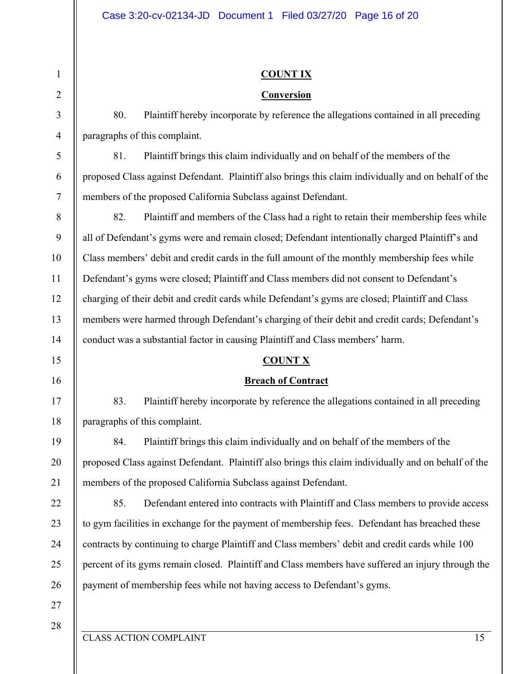### **COUNT IX**

### **Conversion**

80. Plaintiff hereby incorporate by reference the allegations contained in all preceding paragraphs of this complaint.

81. Plaintiff brings this claim individually and on behalf of the members of the proposed Class against Defendant. Plaintiff also brings this claim individually and on behalf of the members of the proposed California Subclass against Defendant.

82. Plaintiff and members of the Class had a right to retain their membership fees while all of Defendant's gyms were and remain closed; Defendant intentionally charged Plaintiff's and Class members' debit and credit cards in the full amount of the monthly membership fees while Defendant's gyms were closed; Plaintiff and Class members did not consent to Defendant's charging of their debit and credit cards while Defendant's gyms are closed; Plaintiff and Class members were harmed through Defendant's charging of their debit and credit cards; Defendant's conduct was a substantial factor in causing Plaintiff and Class members' harm.

#### **COUNT X**

## **Breach of Contract**

83. Plaintiff hereby incorporate by reference the allegations contained in all preceding paragraphs of this complaint.

84. Plaintiff brings this claim individually and on behalf of the members of the proposed Class against Defendant. Plaintiff also brings this claim individually and on behalf of the members of the proposed California Subclass against Defendant.

85. Defendant entered into contracts with Plaintiff and Class members to provide access to gym facilities in exchange for the payment of membership fees. Defendant has breached these contracts by continuing to charge Plaintiff and Class members' debit and credit cards while 100 percent of its gyms remain closed. Plaintiff and Class members have suffered an injury through the payment of membership fees while not having access to Defendant's gyms.

27 28

1

2

3

4

5

6

7

8

9

10

11

12

13

14

15

16

17

18

19

20

21

22

23

24

25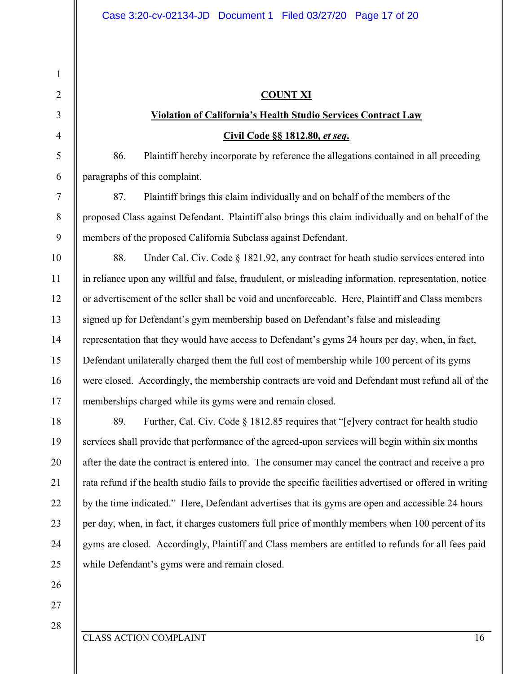# **COUNT XI**

# **Violation of California's Health Studio Services Contract Law Civil Code §§ 1812.80,** *et seq***.**

86. Plaintiff hereby incorporate by reference the allegations contained in all preceding paragraphs of this complaint.

87. Plaintiff brings this claim individually and on behalf of the members of the proposed Class against Defendant. Plaintiff also brings this claim individually and on behalf of the members of the proposed California Subclass against Defendant.

88. Under Cal. Civ. Code § 1821.92, any contract for heath studio services entered into in reliance upon any willful and false, fraudulent, or misleading information, representation, notice or advertisement of the seller shall be void and unenforceable. Here, Plaintiff and Class members signed up for Defendant's gym membership based on Defendant's false and misleading representation that they would have access to Defendant's gyms 24 hours per day, when, in fact, Defendant unilaterally charged them the full cost of membership while 100 percent of its gyms were closed. Accordingly, the membership contracts are void and Defendant must refund all of the memberships charged while its gyms were and remain closed.

89. Further, Cal. Civ. Code § 1812.85 requires that "[e]very contract for health studio services shall provide that performance of the agreed-upon services will begin within six months after the date the contract is entered into. The consumer may cancel the contract and receive a pro rata refund if the health studio fails to provide the specific facilities advertised or offered in writing by the time indicated." Here, Defendant advertises that its gyms are open and accessible 24 hours per day, when, in fact, it charges customers full price of monthly members when 100 percent of its gyms are closed. Accordingly, Plaintiff and Class members are entitled to refunds for all fees paid while Defendant's gyms were and remain closed.

26 27

1

2

3

4

5

6

7

8

9

10

11

12

13

14

15

16

17

18

19

20

21

22

23

24

25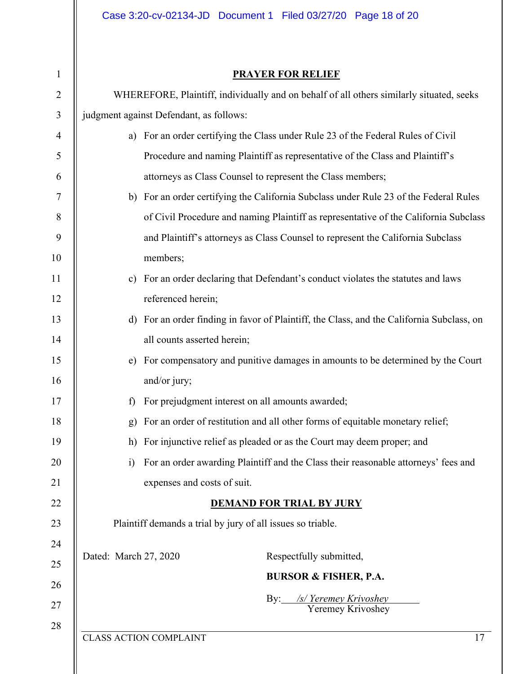# 1

# **PRAYER FOR RELIEF**

| $\overline{2}$   | WHEREFORE, Plaintiff, individually and on behalf of all others similarly situated, seeks  |  |  |  |
|------------------|-------------------------------------------------------------------------------------------|--|--|--|
| $\mathfrak{Z}$   | judgment against Defendant, as follows:                                                   |  |  |  |
| $\overline{4}$   | a) For an order certifying the Class under Rule 23 of the Federal Rules of Civil          |  |  |  |
| 5                | Procedure and naming Plaintiff as representative of the Class and Plaintiff's             |  |  |  |
| 6                | attorneys as Class Counsel to represent the Class members;                                |  |  |  |
| $\overline{7}$   | b) For an order certifying the California Subclass under Rule 23 of the Federal Rules     |  |  |  |
| $8\phantom{1}$   | of Civil Procedure and naming Plaintiff as representative of the California Subclass      |  |  |  |
| $\boldsymbol{9}$ | and Plaintiff's attorneys as Class Counsel to represent the California Subclass           |  |  |  |
| 10               | members;                                                                                  |  |  |  |
| 11               | c) For an order declaring that Defendant's conduct violates the statutes and laws         |  |  |  |
| 12               | referenced herein;                                                                        |  |  |  |
| 13               | d) For an order finding in favor of Plaintiff, the Class, and the California Subclass, on |  |  |  |
| 14               | all counts asserted herein;                                                               |  |  |  |
| 15               | For compensatory and punitive damages in amounts to be determined by the Court<br>e)      |  |  |  |
| 16               | and/or jury;                                                                              |  |  |  |
| 17               | For prejudgment interest on all amounts awarded;<br>f)                                    |  |  |  |
| 18               | For an order of restitution and all other forms of equitable monetary relief;<br>g)       |  |  |  |
| 19               | For injunctive relief as pleaded or as the Court may deem proper; and<br>h)               |  |  |  |
| 20               | i) For an order awarding Plaintiff and the Class their reasonable attorneys' fees and     |  |  |  |
| 21               | expenses and costs of suit.                                                               |  |  |  |
| 22               | <b>DEMAND FOR TRIAL BY JURY</b>                                                           |  |  |  |
| 23               | Plaintiff demands a trial by jury of all issues so triable.                               |  |  |  |
| 24               | Dated: March 27, 2020<br>Respectfully submitted,                                          |  |  |  |
| 25               | <b>BURSOR &amp; FISHER, P.A.</b>                                                          |  |  |  |
| 26               | By: /s/ Yeremey Krivoshey                                                                 |  |  |  |
| 27               | Yeremey Krivoshey                                                                         |  |  |  |
| 28               | <b>CLASS ACTION COMPLAINT</b><br>17                                                       |  |  |  |
|                  |                                                                                           |  |  |  |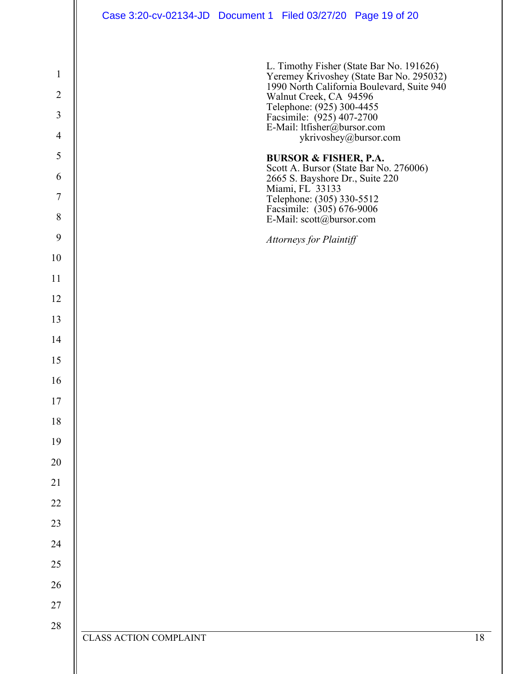|                | Case 3:20-cv-02134-JD  Document 1  Filed 03/27/20  Page 19 of 20                                                 |
|----------------|------------------------------------------------------------------------------------------------------------------|
|                |                                                                                                                  |
| $\mathbf{1}$   | L. Timothy Fisher (State Bar No. 191626)                                                                         |
| $\overline{2}$ | Yeremey Krivoshey (State Bar No. 295032)<br>1990 North California Boulevard, Suite 940<br>Walnut Creek, CA 94596 |
| 3              | Telephone: (925) 300-4455<br>Facsimile: (925) 407-2700<br>E-Mail: ltfisher@bursor.com                            |
| $\overline{4}$ | ykrivoshey@bursor.com                                                                                            |
| 5              | <b>BURSOR &amp; FISHER, P.A.</b>                                                                                 |
| 6              | Scott A. Bursor (State Bar No. 276006)<br>2665 S. Bayshore Dr., Suite 220                                        |
| $\overline{7}$ | Miami, FL 33133<br>Telephone: (305) 330-5512<br>Facsimile: (305) 676-9006                                        |
| $8\,$          | E-Mail: scott@bursor.com                                                                                         |
| 9              | Attorneys for Plaintiff                                                                                          |
| 10             |                                                                                                                  |
| 11             |                                                                                                                  |
| 12             |                                                                                                                  |
| 13             |                                                                                                                  |
| 14             |                                                                                                                  |
| 15             |                                                                                                                  |
| 16             |                                                                                                                  |
| 17             |                                                                                                                  |
| 18<br>19       |                                                                                                                  |
| 20             |                                                                                                                  |
| 21             |                                                                                                                  |
| 22             |                                                                                                                  |
| 23             |                                                                                                                  |
| 24             |                                                                                                                  |
| 25             |                                                                                                                  |
| $26\,$         |                                                                                                                  |
| 27             |                                                                                                                  |
| $28\,$         |                                                                                                                  |
|                | 18<br><b>CLASS ACTION COMPLAINT</b>                                                                              |
|                |                                                                                                                  |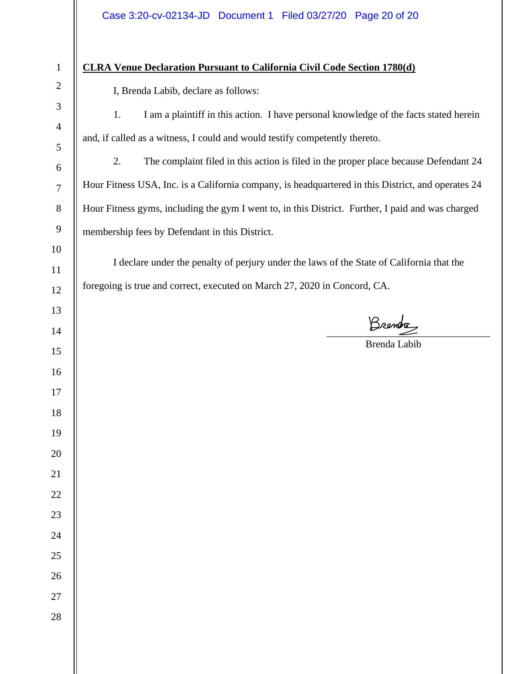# **CLRA Venue Declaration Pursuant to California Civil Code Section 1780(d)**

I, Brenda Labib, declare as follows:

1. I am a plaintiff in this action. I have personal knowledge of the facts stated herein and, if called as a witness, I could and would testify competently thereto.

2. The complaint filed in this action is filed in the proper place because Defendant 24 Hour Fitness USA, Inc. is a California company, is headquartered in this District, and operates 24 Hour Fitness gyms, including the gym I went to, in this District. Further, I paid and was charged membership fees by Defendant in this District.

I declare under the penalty of perjury under the laws of the State of California that the foregoing is true and correct, executed on March 27, 2020 in Concord, CA.

 $\overline{\phantom{a}}$ 

Brenda Labib